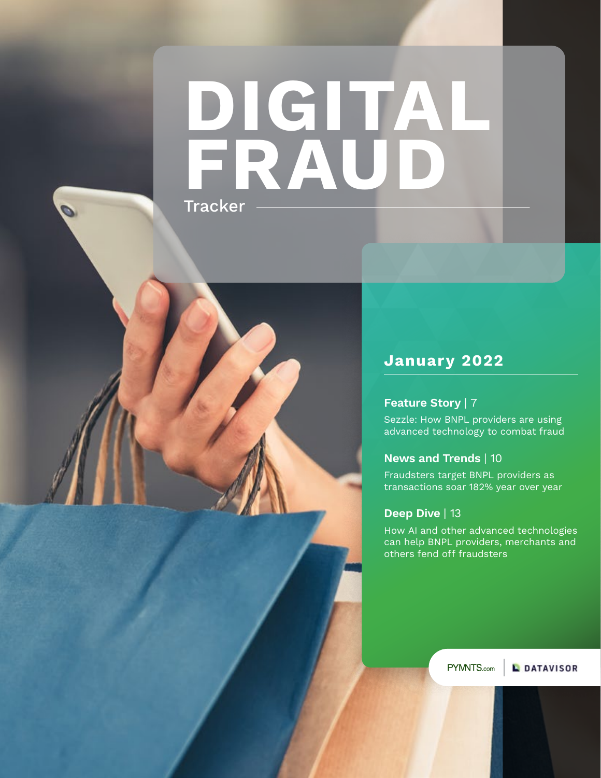# **Tracker DIGITAL FRAUD**

### **January 2022**

### **Feature Story** | 7

Sezzle: How BNPL providers are using advanced technology to combat fraud

### **News and Trends** | 10

Fraudsters target BNPL providers as transactions soar 182% year over year

### **Deep Dive** | 13

How AI and other advanced technologies can help BNPL providers, merchants and others fend off fraudsters

PYMNTS.com

**L** DATAVISOR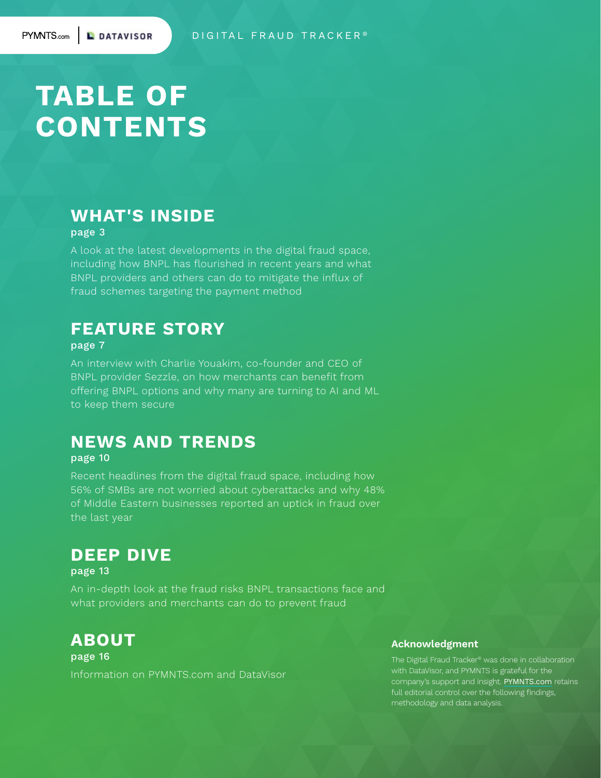# **TABLE OF CONTENTS**

**L** DATAVISOR

### **WHAT'S INSIDE**

page 3

**2**

A look at the latest developments in the digital fraud space, including how BNPL has flourished in recent years and what BNPL providers and others can do to mitigate the influx of fraud schemes targeting the payment method

### **FEATURE STORY**

#### page 7

An interview with Charlie Youakim, co-founder and CEO of BNPL provider [Sezzle](https://sezzle.com/), on how merchants can benefit from offering BNPL options and why many are turning to AI and ML to keep them secure

### **NEWS AND TRENDS**

#### page 10

Recent headlines from the digital fraud space, including how 56% of SMBs are not worried about cyberattacks and why 48% of Middle Eastern businesses reported an uptick in fraud over the last year

### **DEEP DIVE**

page 13

An in-depth look at the fraud risks BNPL transactions face and what providers and merchants can do to prevent fraud

### **ABOUT**

page 16 Information on PYMNTS.com and DataVisor

#### **Acknowledgment**

The Digital Fraud Tracker® was done in collaboration with DataVisor, and PYMNTS is grateful for the company's support and insight. [PYMNTS.com](https://www.pymnts.com) retains full editorial control over the following findings, methodology and data analysis.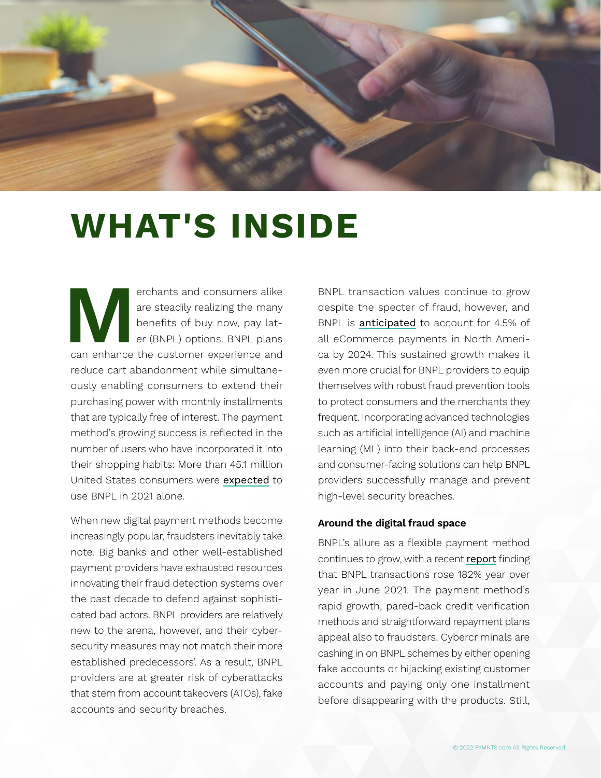

# **WHAT'S INSIDE**

erchants and consumers alike<br>
are steadily realizing the many<br>
benefits of buy now, pay lat-<br>
er (BNPL) options. BNPL plans<br>
can enhance the customer experience and are steadily realizing the many benefits of buy now, pay later (BNPL) options. BNPL plans reduce cart abandonment while simultaneously enabling consumers to extend their purchasing power with monthly installments that are typically free of interest. The payment method's growing success is reflected in the number of users who have incorporated it into their shopping habits: More than 45.1 million United States consumers were [expected](https://www.emarketer.com/content/bnpl-latest-next-fraud-target-and-providers-should-act-quickly-avoid-losses) to use BNPL in 2021 alone.

When new digital payment methods become increasingly popular, fraudsters inevitably take note. Big banks and other well-established payment providers have exhausted resources innovating their fraud detection systems over the past decade to defend against sophisticated bad actors. BNPL providers are relatively new to the arena, however, and their cybersecurity measures may not match their more established predecessors'. As a result, BNPL providers are at greater risk of cyberattacks that stem from account takeovers (ATOs), fake accounts and security breaches.

BNPL transaction values continue to grow despite the specter of fraud, however, and BNPL is [anticipated](https://opusconsulting.com/buy-now-pay-later-goes-global-what-merchants-should-watch-out-for/) to account for 4.5% of all eCommerce payments in North America by 2024. This sustained growth makes it even more crucial for BNPL providers to equip themselves with robust fraud prevention tools to protect consumers and the merchants they frequent. Incorporating advanced technologies such as artificial intelligence (AI) and machine learning (ML) into their back-end processes and consumer-facing solutions can help BNPL providers successfully manage and prevent high-level security breaches.

#### **Around the digital fraud space**

BNPL's allure as a flexible payment method continues to grow, with a recent [report](https://thefintechtimes.com/businesses-and-consumers-alike-at-risk-as-bnpl-usage-creates-new-avenues-for-fraud/) finding that BNPL transactions rose 182% year over year in June 2021. The payment method's rapid growth, pared-back credit verification methods and straightforward repayment plans appeal also to fraudsters. Cybercriminals are cashing in on BNPL schemes by either opening fake accounts or hijacking existing customer accounts and paying only one installment before disappearing with the products. Still,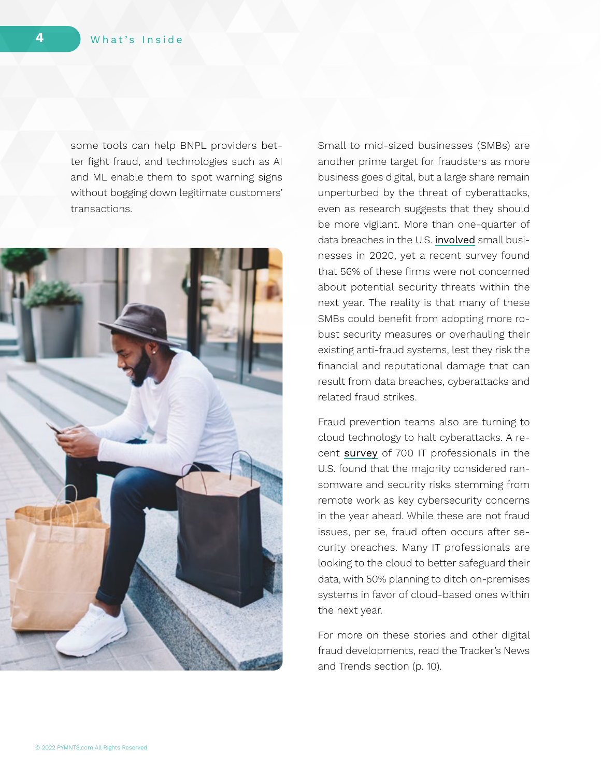some tools can help BNPL providers better fight fraud, and technologies such as AI and ML enable them to spot warning signs without bogging down legitimate customers' transactions.



Small to mid-sized businesses (SMBs) are another prime target for fraudsters as more business goes digital, but a large share remain unperturbed by the threat of cyberattacks, even as research suggests that they should be more vigilant. More than one-quarter of data breaches in the U.S. [involved](https://www.businessinsider.com/what-companies-need-to-know-about-the-threat-of-cyberattacks-2021-11) small businesses in 2020, yet a recent survey found that 56% of these firms were not concerned about potential security threats within the next year. The reality is that many of these SMBs could benefit from adopting more robust security measures or overhauling their existing anti-fraud systems, lest they risk the financial and reputational damage that can result from data breaches, cyberattacks and related fraud strikes.

Fraud prevention teams also are turning to cloud technology to halt cyberattacks. A recent [survey](https://datacenterfrontier.com/it-data-center-priorities-2022-survey-results-revealed/) of 700 IT professionals in the U.S. found that the majority considered ransomware and security risks stemming from remote work as key cybersecurity concerns in the year ahead. While these are not fraud issues, per se, fraud often occurs after security breaches. Many IT professionals are looking to the cloud to better safeguard their data, with 50% planning to ditch on-premises systems in favor of cloud-based ones within the next year.

For more on these stories and other digital fraud developments, read the Tracker's News and Trends section (p. 10).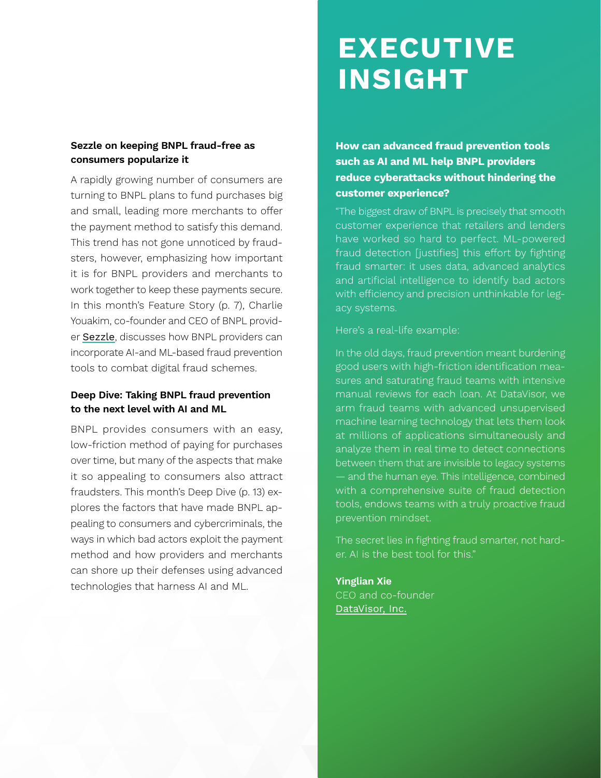### **Sezzle on keeping BNPL fraud-free as consumers popularize it**

A rapidly growing number of consumers are turning to BNPL plans to fund purchases big and small, leading more merchants to offer the payment method to satisfy this demand. This trend has not gone unnoticed by fraudsters, however, emphasizing how important it is for BNPL providers and merchants to work together to keep these payments secure. In this month's Feature Story (p. 7), Charlie Youakim, co-founder and CEO of BNPL provider [Sezzle](https://sezzle.com/), discusses how BNPL providers can incorporate AI-and ML-based fraud prevention tools to combat digital fraud schemes.

### **Deep Dive: Taking BNPL fraud prevention to the next level with AI and ML**

BNPL provides consumers with an easy, low-friction method of paying for purchases over time, but many of the aspects that make it so appealing to consumers also attract fraudsters. This month's Deep Dive (p. 13) explores the factors that have made BNPL appealing to consumers and cybercriminals, the ways in which bad actors exploit the payment method and how providers and merchants can shore up their defenses using advanced technologies that harness AI and ML.

# **EXECUTIVE INSIGHT**

**How can advanced fraud prevention tools such as AI and ML help BNPL providers reduce cyberattacks without hindering the customer experience?** 

"The biggest draw of BNPL is precisely that smooth customer experience that retailers and lenders have worked so hard to perfect. ML-powered fraud detection [justifies] this effort by fighting fraud smarter: it uses data, advanced analytics and artificial intelligence to identify bad actors with efficiency and precision unthinkable for legacy systems.

Here's a real-life example:

In the old days, fraud prevention meant burdening good users with high-friction identification measures and saturating fraud teams with intensive manual reviews for each loan. At DataVisor, we arm fraud teams with advanced unsupervised machine learning technology that lets them look at millions of applications simultaneously and analyze them in real time to detect connections between them that are invisible to legacy systems — and the human eye. This intelligence, combined with a comprehensive suite of fraud detection tools, endows teams with a truly proactive fraud prevention mindset.

The secret lies in fighting fraud smarter, not harder. AI is the best tool for this."

**Yinglian Xie** CEO and co-founder [DataVisor, Inc.](https://www.datavisor.com/)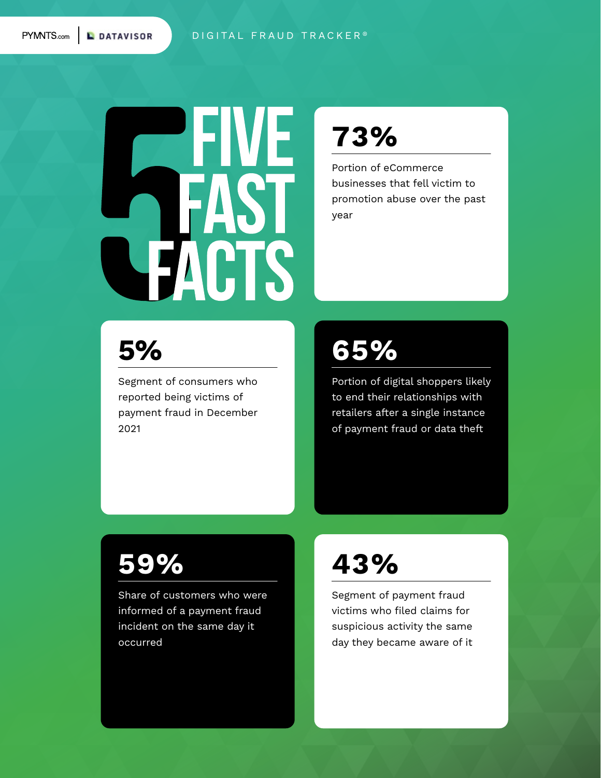**KNTS.com** | **L** DATAVISOR

#### DIGITAL FRAUD TRACKER<sup>®</sup>



## **[73%](https://www.pymnts.com/wp-content/uploads/2021/11/PYMNTS-Beyond-eCommerce-Fraud-November-2021.pdf)**

Portion of eCommerce businesses that fell victim to promotion abuse over the past year

## **5%**

[Segment of consumers who](https://www.pymnts.com/study/digital-economy-payments-report-holiday-spending-travel-mobile-wallets-fraud/)  reported being victims of payment fraud in December 2021

## **[65%](https://www.pymnts.com/wp-content/uploads/2021/05/PYMNTS-Securing-eCommerce-Study-May-2021-1.pdf)**

Portion of digital shoppers likely to end their relationships with retailers after a single instance of payment fraud or data theft

# **[59%](https://securecdn.pymnts.com/wp-content/uploads/2022/01/PYMNTS-Digital-Economy-Payments-Jan-2022.pdf)**

Share of customers who were informed of a payment fraud incident on the same day it occurred

## **[43%](https://www.pymnts.com/study/digital-economy-payments-report-holiday-spending-travel-mobile-wallets-fraud/)**

Segment of payment fraud victims who filed claims for suspicious activity the same day they became aware of it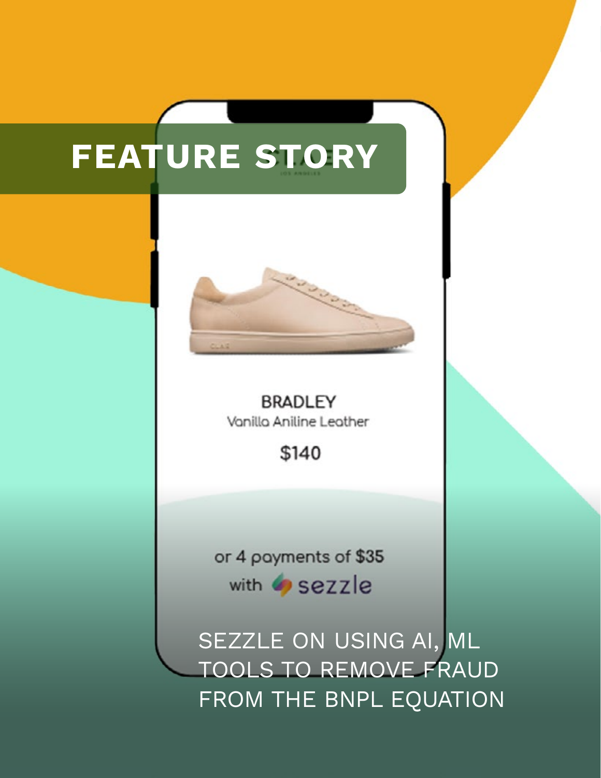# **FEATURE STORY**



Feature Story **7**

**BRADLEY** Vanilla Aniline Leather

\$140

or 4 payments of \$35 with sezzle

SEZZLE ON USING AI, ML TOOLS TO REMOVE FRAUD FROM THE BNPL EQUATION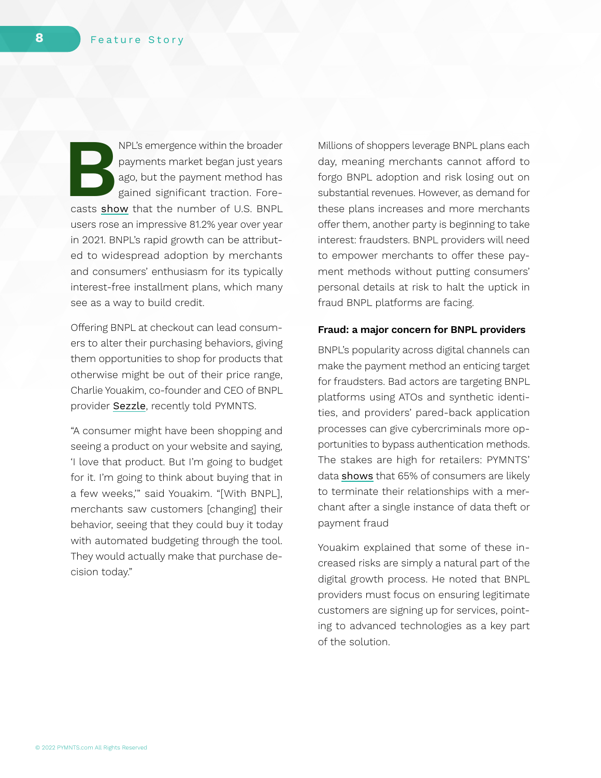**BUCK** BRITTED INPL'S emergence within the broader payments market began just years<br>ago, but the payment method has<br>gained significant traction. Fore-<br>casts [show](https://www.businessinsider.com/top-five-things-that-happened-in-bnpl-2021-12) that the number of U.S. BNPL payments market began just years ago, but the payment method has gained significant traction. Foreusers rose an impressive 81.2% year over year in 2021. BNPL's rapid growth can be attributed to widespread adoption by merchants and consumers' enthusiasm for its typically interest-free installment plans, which many see as a way to build credit.

Offering BNPL at checkout can lead consumers to alter their purchasing behaviors, giving them opportunities to shop for products that otherwise might be out of their price range, Charlie Youakim, co-founder and CEO of BNPL provider [Sezzle](https://sezzle.com/), recently told PYMNTS.

"A consumer might have been shopping and seeing a product on your website and saying, 'I love that product. But I'm going to budget for it. I'm going to think about buying that in a few weeks,'" said Youakim. "[With BNPL], merchants saw customers [changing] their behavior, seeing that they could buy it today with automated budgeting through the tool. They would actually make that purchase decision today."

Millions of shoppers leverage BNPL plans each day, meaning merchants cannot afford to forgo BNPL adoption and risk losing out on substantial revenues. However, as demand for these plans increases and more merchants offer them, another party is beginning to take interest: fraudsters. BNPL providers will need to empower merchants to offer these payment methods without putting consumers' personal details at risk to halt the uptick in fraud BNPL platforms are facing.

#### **Fraud: a major concern for BNPL providers**

BNPL's popularity across digital channels can make the payment method an enticing target for fraudsters. Bad actors are targeting BNPL platforms using ATOs and synthetic identities, and providers' pared-back application processes can give cybercriminals more opportunities to bypass authentication methods. The stakes are high for retailers: PYMNTS' data [shows](https://www.pymnts.com/wp-content/uploads/2021/05/PYMNTS-Securing-eCommerce-Study-May-2021-1.pdf) that 65% of consumers are likely to terminate their relationships with a merchant after a single instance of data theft or payment fraud

Youakim explained that some of these increased risks are simply a natural part of the digital growth process. He noted that BNPL providers must focus on ensuring legitimate customers are signing up for services, pointing to advanced technologies as a key part of the solution.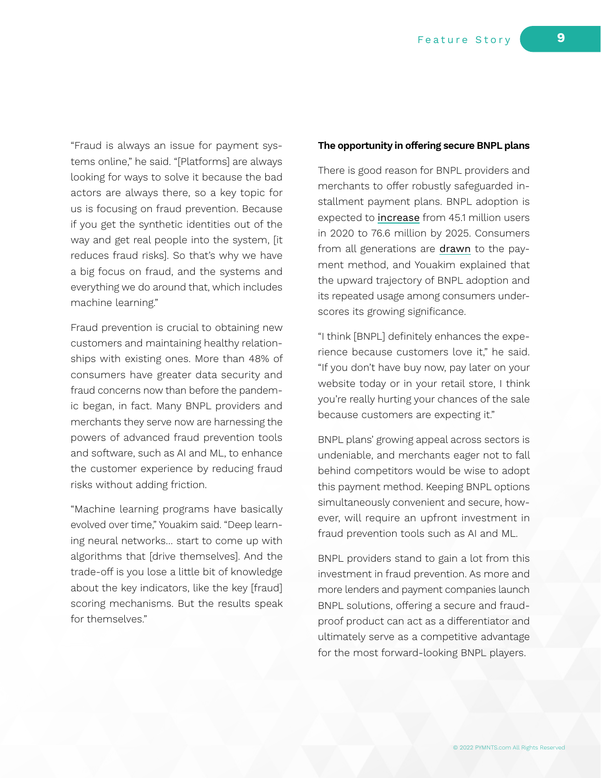"Fraud is always an issue for payment systems online," he said. "[Platforms] are always looking for ways to solve it because the bad actors are always there, so a key topic for us is focusing on fraud prevention. Because if you get the synthetic identities out of the way and get real people into the system, [it reduces fraud risks]. So that's why we have a big focus on fraud, and the systems and everything we do around that, which includes machine learning."

Fraud prevention is crucial to obtaining new customers and maintaining healthy relationships with existing ones. More than 48% of consumers have greater data security and fraud concerns now than before the pandemic began, in fact. Many BNPL providers and merchants they serve now are harnessing the powers of advanced fraud prevention tools and software, such as AI and ML, to enhance the customer experience by reducing fraud risks without adding friction.

"Machine learning programs have basically evolved over time," Youakim said. "Deep learning neural networks… start to come up with algorithms that [drive themselves]. And the trade-off is you lose a little bit of knowledge about the key indicators, like the key [fraud] scoring mechanisms. But the results speak for themselves."

#### **The opportunity in offering secure BNPL plans**

There is good reason for BNPL providers and merchants to offer robustly safeguarded installment payment plans. BNPL adoption is expected to [increase](https://www.businessinsider.com/top-five-things-that-happened-in-bnpl-2021-12) from 45.1 million users in 2020 to 76.6 million by 2025. Consumers from all generations are [drawn](https://www.forbes.com/sites/ronshevlin/2021/09/07/buy-now-pay-later-the-new-payments-trend-generating-100-billion-in-sales/?sh=61fec9182ffe) to the payment method, and Youakim explained that the upward trajectory of BNPL adoption and its repeated usage among consumers underscores its growing significance.

"I think [BNPL] definitely enhances the experience because customers love it," he said. "If you don't have buy now, pay later on your website today or in your retail store, I think you're really hurting your chances of the sale because customers are expecting it."

BNPL plans' growing appeal across sectors is undeniable, and merchants eager not to fall behind competitors would be wise to adopt this payment method. Keeping BNPL options simultaneously convenient and secure, however, will require an upfront investment in fraud prevention tools such as AI and ML.

BNPL providers stand to gain a lot from this investment in fraud prevention. As more and more lenders and payment companies launch BNPL solutions, offering a secure and fraudproof product can act as a differentiator and ultimately serve as a competitive advantage for the most forward-looking BNPL players.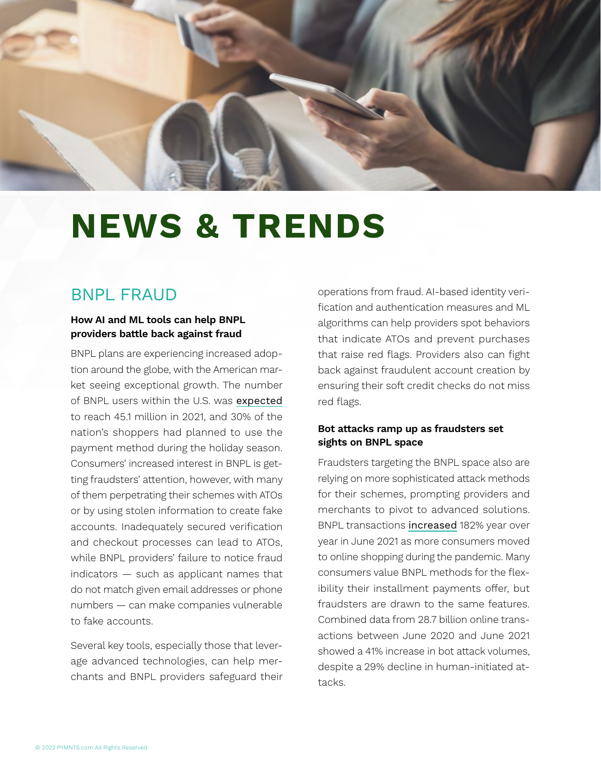

# **NEWS & TRENDS**

### BNPL FRAUD

### **How AI and ML tools can help BNPL providers battle back against fraud**

BNPL plans are experiencing increased adoption around the globe, with the American market seeing exceptional growth. The number of BNPL users within the U.S. was [expected](https://www.emarketer.com/content/bnpl-latest-next-fraud-target-and-providers-should-act-quickly-avoid-losses) to reach 45.1 million in 2021, and 30% of the nation's shoppers had planned to use the payment method during the holiday season. Consumers' increased interest in BNPL is getting fraudsters' attention, however, with many of them perpetrating their schemes with ATOs or by using stolen information to create fake accounts. Inadequately secured verification and checkout processes can lead to ATOs, while BNPL providers' failure to notice fraud indicators — such as applicant names that do not match given email addresses or phone numbers — can make companies vulnerable to fake accounts.

Several key tools, especially those that leverage advanced technologies, can help merchants and BNPL providers safeguard their operations from fraud. AI-based identity verification and authentication measures and ML algorithms can help providers spot behaviors that indicate ATOs and prevent purchases that raise red flags. Providers also can fight back against fraudulent account creation by ensuring their soft credit checks do not miss red flags.

#### **Bot attacks ramp up as fraudsters set sights on BNPL space**

Fraudsters targeting the BNPL space also are relying on more sophisticated attack methods for their schemes, prompting providers and merchants to pivot to advanced solutions. BNPL transactions [increased](https://thefintechtimes.com/businesses-and-consumers-alike-at-risk-as-bnpl-usage-creates-new-avenues-for-fraud/) 182% year over year in June 2021 as more consumers moved to online shopping during the pandemic. Many consumers value BNPL methods for the flexibility their installment payments offer, but fraudsters are drawn to the same features. Combined data from 28.7 billion online transactions between June 2020 and June 2021 showed a 41% increase in bot attack volumes, despite a 29% decline in human-initiated attacks.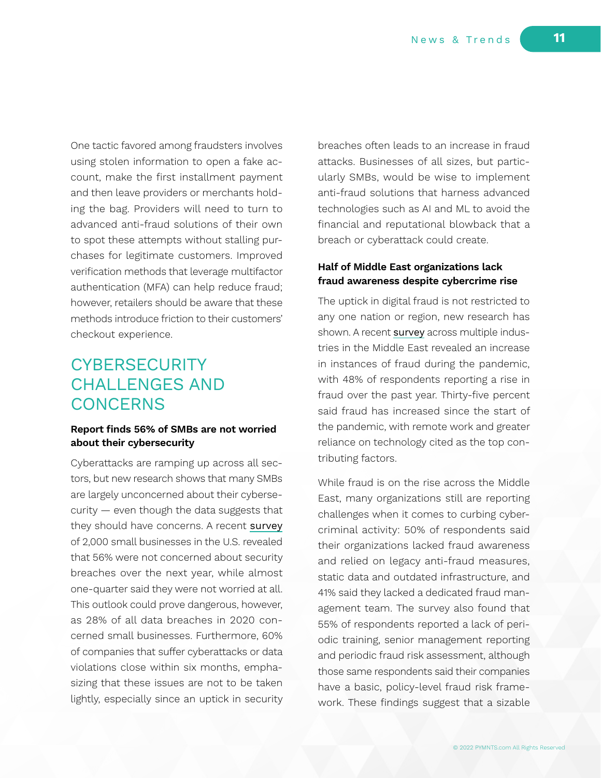One tactic favored among fraudsters involves using stolen information to open a fake account, make the first installment payment and then leave providers or merchants holding the bag. Providers will need to turn to advanced anti-fraud solutions of their own to spot these attempts without stalling purchases for legitimate customers. Improved verification methods that leverage multifactor authentication (MFA) can help reduce fraud; however, retailers should be aware that these methods introduce friction to their customers' checkout experience.

### **CYBERSECURITY** CHALLENGES AND **CONCERNS**

### **Report finds 56% of SMBs are not worried about their cybersecurity**

Cyberattacks are ramping up across all sectors, but new research shows that many SMBs are largely unconcerned about their cybersecurity — even though the data suggests that they should have concerns. A recent [survey](https://www.businessinsider.com/what-companies-need-to-know-about-the-threat-of-cyberattacks-2021-11) of 2,000 small businesses in the U.S. revealed that 56% were not concerned about security breaches over the next year, while almost one-quarter said they were not worried at all. This outlook could prove dangerous, however, as 28% of all data breaches in 2020 concerned small businesses. Furthermore, 60% of companies that suffer cyberattacks or data violations close within six months, emphasizing that these issues are not to be taken lightly, especially since an uptick in security

breaches often leads to an increase in fraud attacks. Businesses of all sizes, but particularly SMBs, would be wise to implement anti-fraud solutions that harness advanced technologies such as AI and ML to avoid the financial and reputational blowback that a breach or cyberattack could create.

### **Half of Middle East organizations lack fraud awareness despite cybercrime rise**

The uptick in digital fraud is not restricted to any one nation or region, new research has shown. A recent [survey](https://www.albawaba.com/business/pr/deloitte-releases-its-latest-fraud-survey-middle-east-1454780) across multiple industries in the Middle East revealed an increase in instances of fraud during the pandemic, with 48% of respondents reporting a rise in fraud over the past year. Thirty-five percent said fraud has increased since the start of the pandemic, with remote work and greater reliance on technology cited as the top contributing factors.

While fraud is on the rise across the Middle East, many organizations still are reporting challenges when it comes to curbing cybercriminal activity: 50% of respondents said their organizations lacked fraud awareness and relied on legacy anti-fraud measures, static data and outdated infrastructure, and 41% said they lacked a dedicated fraud management team. The survey also found that 55% of respondents reported a lack of periodic training, senior management reporting and periodic fraud risk assessment, although those same respondents said their companies have a basic, policy-level fraud risk framework. These findings suggest that a sizable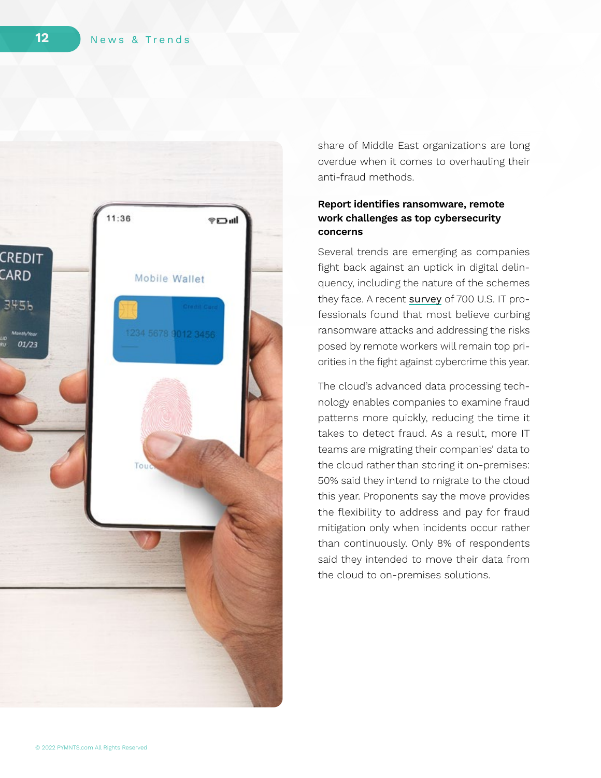

share of Middle East organizations are long overdue when it comes to overhauling their anti-fraud methods.

### **Report identifies ransomware, remote work challenges as top cybersecurity concerns**

Several trends are emerging as companies fight back against an uptick in digital delin quency, including the nature of the schemes they face. A recent  $\sf{survey}$  $\sf{survey}$  $\sf{survey}$  of 700 U.S. IT professionals found that most believe curbing ransomware attacks and addressing the risks posed by remote workers will remain top pri orities in the fight against cybercrime this year.

The cloud's advanced data processing tech nology enables companies to examine fraud patterns more quickly, reducing the time it takes to detect fraud. As a result, more IT teams are migrating their companies' data to the cloud rather than storing it on-premises: 50% said they intend to migrate to the cloud this year. Proponents say the move provides the flexibility to address and pay for fraud mitigation only when incidents occur rather than continuously. Only 8% of respondents said they intended to move their data from the cloud to on-premises solutions.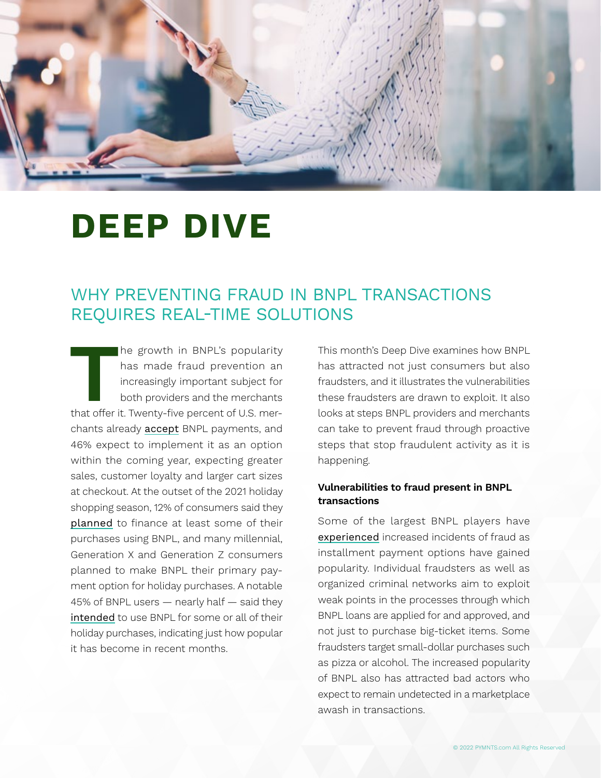

# **DEEP DIVE**

### WHY PREVENTING FRAUD IN BNPL TRANSACTIONS REQUIRES REAL-TIME SOLUTIONS

**T**he growth in BNPL's popularity that offer it. Twenty-five percent of U.S. merhas made fraud prevention an increasingly important subject for both providers and the merchants chants already [accept](https://www.rblt.com/fintech-insights/how-bnpl-is-redefining-consumer-lending-driving-blockbuster-deals-square-afterpay) BNPL payments, and 46% expect to implement it as an option within the coming year, expecting greater sales, customer loyalty and larger cart sizes at checkout. At the outset of the 2021 holiday shopping season, 12% of consumers said they [planned](https://www.forbes.com/sites/jordanmckee/2021/11/29/three-payment-trends-merchants-need-to-get-right-during-the-holidays/?sh=11a7e6344067) to finance at least some of their purchases using BNPL, and many millennial, Generation X and Generation Z consumers planned to make BNPL their primary payment option for holiday purchases. A notable 45% of BNPL users — nearly half — said they [intended](https://www.cardify.ai/reports/bnpl-holidays-2021) to use BNPL for some or all of their holiday purchases, indicating just how popular it has become in recent months.

This month's Deep Dive examines how BNPL has attracted not just consumers but also fraudsters, and it illustrates the vulnerabilities these fraudsters are drawn to exploit. It also looks at steps BNPL providers and merchants can take to prevent fraud through proactive steps that stop fraudulent activity as it is happening.

### **Vulnerabilities to fraud present in BNPL transactions**

Some of the largest BNPL players have [experienced](https://www.cnbc.com/2021/11/18/criminals-exploit-buy-now-pay-later-services-like-klarna-and-afterpay.html) increased incidents of fraud as installment payment options have gained popularity. Individual fraudsters as well as organized criminal networks aim to exploit weak points in the processes through which BNPL loans are applied for and approved, and not just to purchase big-ticket items. Some fraudsters target small-dollar purchases such as pizza or alcohol. The increased popularity of BNPL also has attracted bad actors who expect to remain undetected in a marketplace awash in transactions.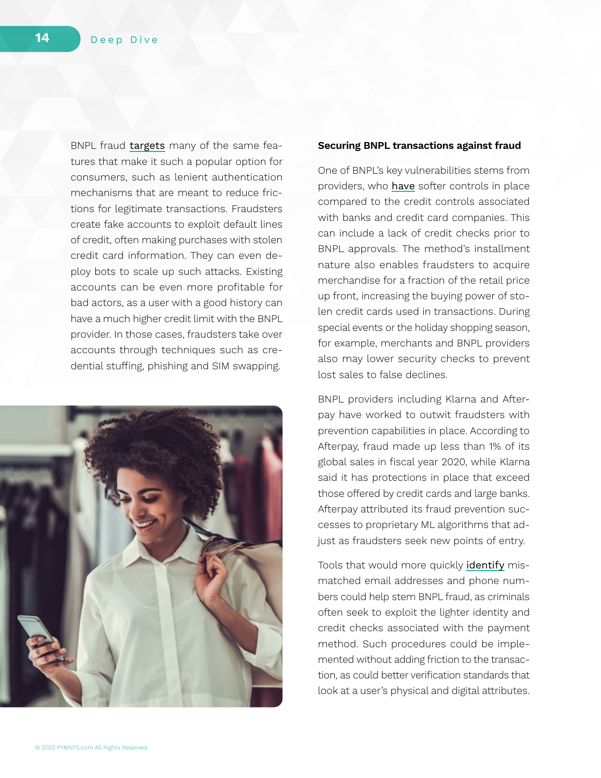BNPL fraud [targets](https://securityboulevard.com/2021/11/bnpl-a-chance-to-rebuild-credit-an-opportunity-for-fraud/) many of the same features that make it such a popular option for consumers, such as lenient authentication mechanisms that are meant to reduce frictions for legitimate transactions. Fraudsters create fake accounts to exploit default lines of credit, often making purchases with stolen credit card information. They can even deploy bots to scale up such attacks. Existing accounts can be even more profitable for bad actors, as a user with a good history can have a much higher credit limit with the BNPL provider. In those cases, fraudsters take over accounts through techniques such as credential stuffing, phishing and SIM swapping.



#### **Securing BNPL transactions against fraud**

One of BNPL's key vulnerabilities stems from providers, who [have](https://www.cnbc.com/2021/11/18/criminals-exploit-buy-now-pay-later-services-like-klarna-and-afterpay.html) softer controls in place compared to the credit controls associated with banks and credit card companies. This can include a lack of credit checks prior to BNPL approvals. The method's installment nature also enables fraudsters to acquire merchandise for a fraction of the retail price up front, increasing the buying power of stolen credit cards used in transactions. During special events or the holiday shopping season, for example, merchants and BNPL providers also may lower security checks to prevent lost sales to false declines.

BNPL providers including Klarna and Afterpay have worked to outwit fraudsters with prevention capabilities in place. According to Afterpay, fraud made up less than 1% of its global sales in fiscal year 2020, while Klarna said it has protections in place that exceed those offered by credit cards and large banks. Afterpay attributed its fraud prevention successes to proprietary ML algorithms that adjust as fraudsters seek new points of entry.

Tools that would more quickly [identify](https://thefintechtimes.com/businesses-and-consumers-alike-at-risk-as-bnpl-usage-creates-new-avenues-for-fraud/) mismatched email addresses and phone numbers could help stem BNPL fraud, as criminals often seek to exploit the lighter identity and credit checks associated with the payment method. Such procedures could be implemented without adding friction to the transaction, as could better verification standards that look at a user's physical and digital attributes.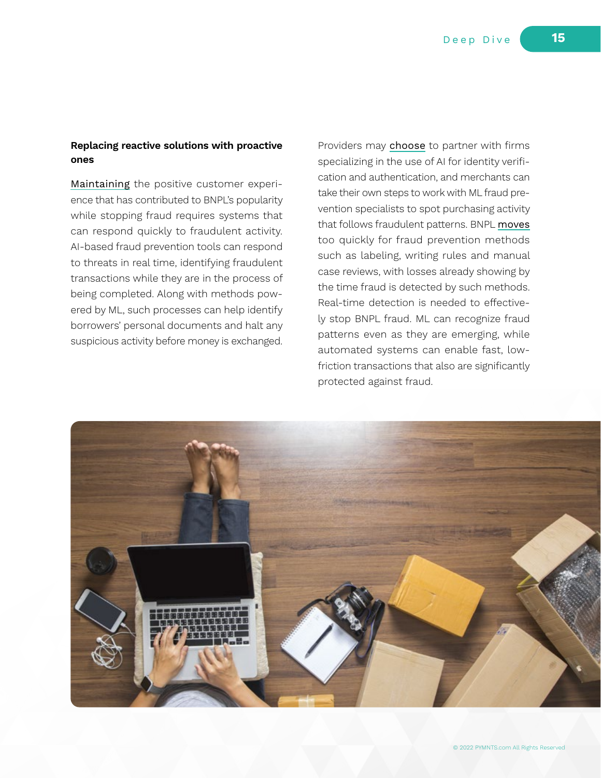#### **Replacing reactive solutions with proactive ones**

[Maintaining](https://hackernoon.com/how-buy-now-pay-later-bnpl-is-bringing-e-commerce-into-the-ai-era) the positive customer experience that has contributed to BNPL's popularity while stopping fraud requires systems that can respond quickly to fraudulent activity. AI-based fraud prevention tools can respond to threats in real time, identifying fraudulent transactions while they are in the process of being completed. Along with methods powered by ML, such processes can help identify borrowers' personal documents and halt any suspicious activity before money is exchanged.

Providers may [choose](https://www.emarketer.com/content/bnpl-latest-next-fraud-target-and-providers-should-act-quickly-avoid-losses) to partner with firms specializing in the use of AI for identity verification and authentication, and merchants can take their own steps to work with ML fraud prevention specialists to spot purchasing activity that follows fraudulent patterns. BNPL [moves](https://www.itproportal.com/features/tech-experts-discuss-the-importance-of-cybersecurity-awareness-month/) too quickly for fraud prevention methods such as labeling, writing rules and manual case reviews, with losses already showing by the time fraud is detected by such methods. Real-time detection is needed to effectively stop BNPL fraud. ML can recognize fraud patterns even as they are emerging, while automated systems can enable fast, lowfriction transactions that also are significantly protected against fraud.

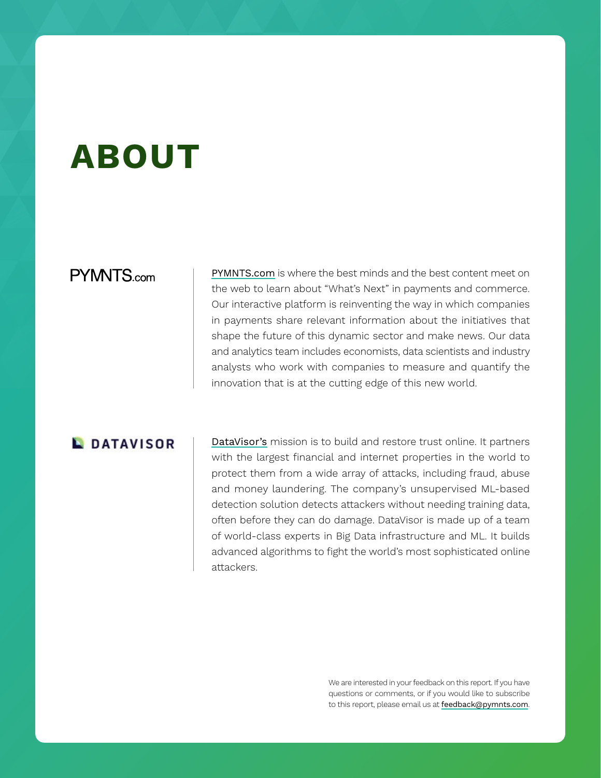# **ABOUT**

### **PYMNTS.com**

[PYMNTS.com](https://www.pymnts.com) is where the best minds and the best content meet on the web to learn about "What's Next" in payments and commerce. Our interactive platform is reinventing the way in which companies in payments share relevant information about the initiatives that shape the future of this dynamic sector and make news. Our data and analytics team includes economists, data scientists and industry analysts who work with companies to measure and quantify the innovation that is at the cutting edge of this new world.

### **L**DATAVISOR

[DataVisor's](https://www.datavisor.com/) mission is to build and restore trust online. It partners with the largest financial and internet properties in the world to protect them from a wide array of attacks, including fraud, abuse and money laundering. The company's unsupervised ML-based detection solution detects attackers without needing training data, often before they can do damage. DataVisor is made up of a team of world-class experts in Big Data infrastructure and ML. It builds advanced algorithms to fight the world's most sophisticated online attackers.

> We are interested in your feedback on this report. If you have questions or comments, or if you would like to subscribe to this report, please email us at [feedback@pymnts.com](mailto:feedback%40pymnts.com?subject=Digital%20Fraud%20Tracker%C2%AE).